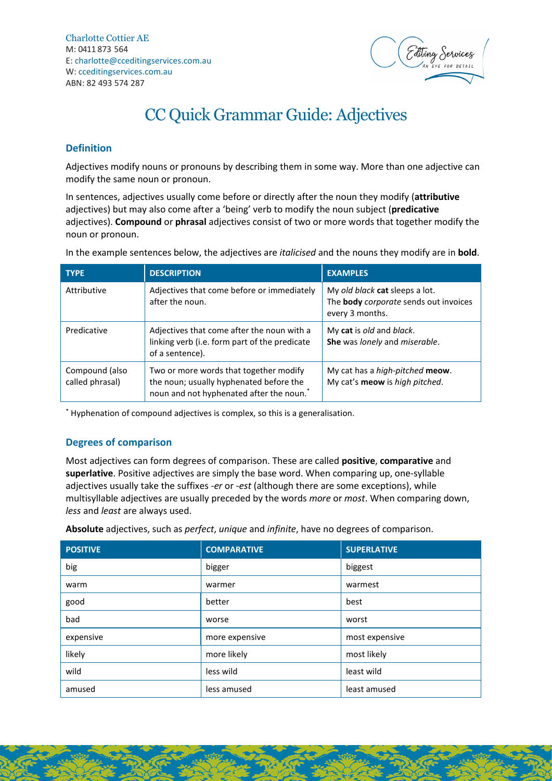

# CC Quick Grammar Guide: Adjectives

# **Definition**

Adjectives modify nouns or pronouns by describing them in some way. More than one adjective can modify the same noun or pronoun.

In sentences, adjectives usually come before or directly after the noun they modify (**attributive** adjectives) but may also come after a 'being' verb to modify the noun subject (**predicative** adjectives). **Compound** or **phrasal** adjectives consist of two or more words that together modify the noun or pronoun.

In the example sentences below, the adjectives are *italicised* and the nouns they modify are in **bold**.

| <b>TYPE</b>                       | <b>DESCRIPTION</b>                                                                                                                        | <b>EXAMPLES</b>                                                                            |
|-----------------------------------|-------------------------------------------------------------------------------------------------------------------------------------------|--------------------------------------------------------------------------------------------|
| Attributive                       | Adjectives that come before or immediately<br>after the noun.                                                                             | My old black cat sleeps a lot.<br>The body corporate sends out invoices<br>every 3 months. |
| Predicative                       | Adjectives that come after the noun with a<br>linking verb (i.e. form part of the predicate<br>of a sentence).                            | My cat is old and black.<br>She was lonely and miserable.                                  |
| Compound (also<br>called phrasal) | Two or more words that together modify<br>the noun; usually hyphenated before the<br>noun and not hyphenated after the noun. <sup>*</sup> | My cat has a high-pitched meow.<br>My cat's meow is high pitched.                          |

\* Hyphenation of compound adjectives is complex, so this is a generalisation.

## **Degrees of comparison**

Most adjectives can form degrees of comparison. These are called **positive**, **comparative** and **superlative**. Positive adjectives are simply the base word. When comparing up, one-syllable adjectives usually take the suffixes *-er* or *-est* (although there are some exceptions), while multisyllable adjectives are usually preceded by the words *more* or *most*. When comparing down, *less* and *least* are always used.

**Absolute** adjectives, such as *perfect*, *unique* and *infinite*, have no degrees of comparison.

| <b>POSITIVE</b> | <b>COMPARATIVE</b> | <b>SUPERLATIVE</b> |
|-----------------|--------------------|--------------------|
| big             | bigger             | biggest            |
| warm            | warmer             | warmest            |
| good            | better             | best               |
| bad             | worse              | worst              |
| expensive       | more expensive     | most expensive     |
| likely          | more likely        | most likely        |
| wild            | less wild          | least wild         |
| amused          | less amused        | least amused       |